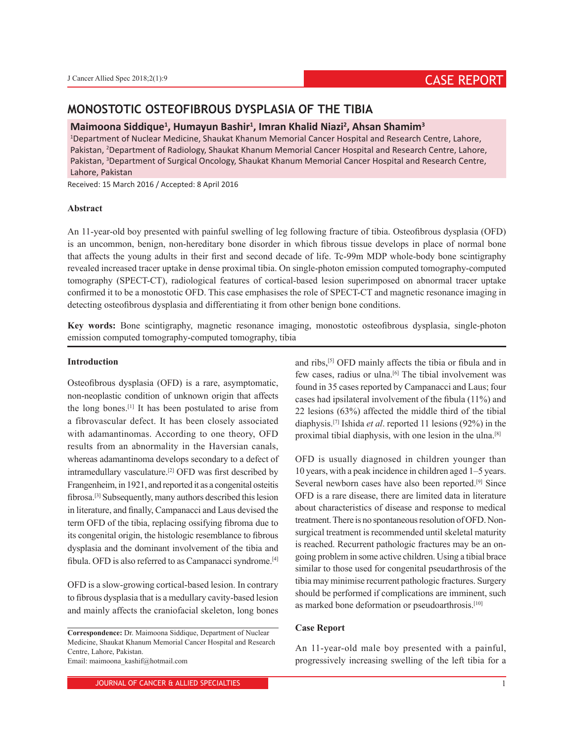# **MONOSTOTIC OSTEOFIBROUS DYSPLASIA OF THE TIBIA**

## **Maimoona Siddique1 , Humayun Bashir1 , Imran Khalid Niazi2 , Ahsan Shamim3**

1 Department of Nuclear Medicine, Shaukat Khanum Memorial Cancer Hospital and Research Centre, Lahore, Pakistan, <sup>2</sup>Department of Radiology, Shaukat Khanum Memorial Cancer Hospital and Research Centre, Lahore, Pakistan, <sup>3</sup>Department of Surgical Oncology, Shaukat Khanum Memorial Cancer Hospital and Research Centre, Lahore, Pakistan

Received: 15 March 2016 / Accepted: 8 April 2016

#### **Abstract**

An 11-year-old boy presented with painful swelling of leg following fracture of tibia. Osteofibrous dysplasia (OFD) is an uncommon, benign, non-hereditary bone disorder in which fibrous tissue develops in place of normal bone that affects the young adults in their first and second decade of life. Tc-99m MDP whole-body bone scintigraphy revealed increased tracer uptake in dense proximal tibia. On single-photon emission computed tomography-computed tomography (SPECT-CT), radiological features of cortical-based lesion superimposed on abnormal tracer uptake confirmed it to be a monostotic OFD. This case emphasises the role of SPECT-CT and magnetic resonance imaging in detecting osteofibrous dysplasia and differentiating it from other benign bone conditions.

**Key words:** Bone scintigraphy, magnetic resonance imaging, monostotic osteofibrous dysplasia, single-photon emission computed tomography-computed tomography, tibia

## **Introduction**

Osteofibrous dysplasia (OFD) is a rare, asymptomatic, non-neoplastic condition of unknown origin that affects the long bones.[1] It has been postulated to arise from a fibrovascular defect. It has been closely associated with adamantinomas. According to one theory, OFD results from an abnormality in the Haversian canals, whereas adamantinoma develops secondary to a defect of intramedullary vasculature.[2] OFD was first described by Frangenheim, in 1921, and reported it as a congenital osteitis fibrosa.[3] Subsequently, many authors described this lesion in literature, and finally, Campanacci and Laus devised the term OFD of the tibia, replacing ossifying fibroma due to its congenital origin, the histologic resemblance to fibrous dysplasia and the dominant involvement of the tibia and fibula. OFD is also referred to as Campanacci syndrome.[4]

OFD is a slow-growing cortical-based lesion. In contrary to fibrous dysplasia that is a medullary cavity-based lesion and mainly affects the craniofacial skeleton, long bones

and ribs,[5] OFD mainly affects the tibia or fibula and in few cases, radius or ulna.<sup>[6]</sup> The tibial involvement was found in 35 cases reported by Campanacci and Laus; four cases had ipsilateral involvement of the fibula (11%) and 22 lesions (63%) affected the middle third of the tibial diaphysis.[7] Ishida *et al*. reported 11 lesions (92%) in the proximal tibial diaphysis, with one lesion in the ulna.[8]

OFD is usually diagnosed in children younger than 10 years, with a peak incidence in children aged 1–5 years. Several newborn cases have also been reported.[9] Since OFD is a rare disease, there are limited data in literature about characteristics of disease and response to medical treatment. There is no spontaneous resolution of OFD. Nonsurgical treatment is recommended until skeletal maturity is reached. Recurrent pathologic fractures may be an ongoing problem in some active children. Using a tibial brace similar to those used for congenital pseudarthrosis of the tibia may minimise recurrent pathologic fractures. Surgery should be performed if complications are imminent, such as marked bone deformation or pseudoarthrosis.<sup>[10]</sup>

#### **Case Report**

An 11-year-old male boy presented with a painful, progressively increasing swelling of the left tibia for a

**Correspondence:** Dr. Maimoona Siddique, Department of Nuclear Medicine, Shaukat Khanum Memorial Cancer Hospital and Research Centre, Lahore, Pakistan. Email: maimoona\_kashif@hotmail.com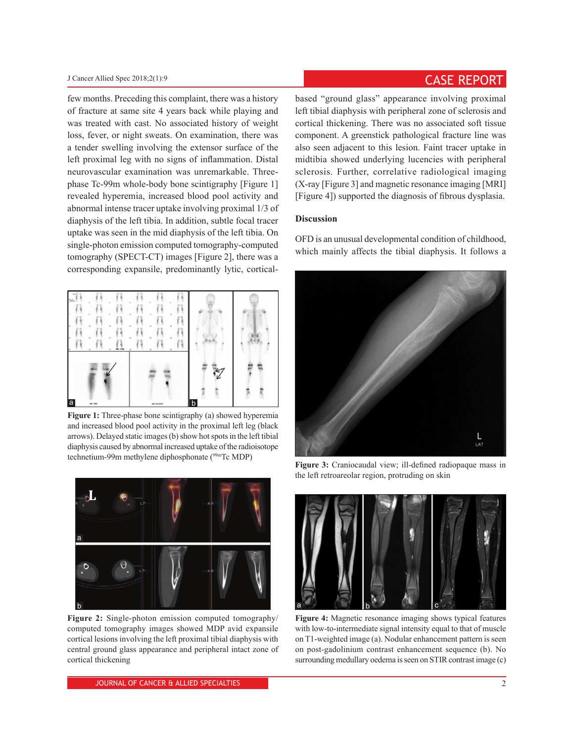few months. Preceding this complaint, there was a history of fracture at same site 4 years back while playing and was treated with cast. No associated history of weight loss, fever, or night sweats. On examination, there was a tender swelling involving the extensor surface of the left proximal leg with no signs of inflammation. Distal neurovascular examination was unremarkable. Threephase Tc-99m whole-body bone scintigraphy [Figure 1] revealed hyperemia, increased blood pool activity and abnormal intense tracer uptake involving proximal 1/3 of diaphysis of the left tibia. In addition, subtle focal tracer uptake was seen in the mid diaphysis of the left tibia. On single-photon emission computed tomography-computed tomography (SPECT-CT) images [Figure 2], there was a corresponding expansile, predominantly lytic, cortical-



**Figure 1:** Three-phase bone scintigraphy (a) showed hyperemia and increased blood pool activity in the proximal left leg (black arrows). Delayed static images (b) show hot spots in the left tibial diaphysis caused by abnormal increased uptake of the radioisotope technetium-99m methylene diphosphonate (<sup>99m</sup>Tc MDP)



**Figure 2:** Single-photon emission computed tomography/ computed tomography images showed MDP avid expansile cortical lesions involving the left proximal tibial diaphysis with central ground glass appearance and peripheral intact zone of cortical thickening

# J Cancer Allied Spec 2018;2(1):9 **CASE REPORT**

based "ground glass" appearance involving proximal left tibial diaphysis with peripheral zone of sclerosis and cortical thickening. There was no associated soft tissue component. A greenstick pathological fracture line was also seen adjacent to this lesion. Faint tracer uptake in midtibia showed underlying lucencies with peripheral sclerosis. Further, correlative radiological imaging (X-ray [Figure 3] and magnetic resonance imaging [MRI] [Figure 4]) supported the diagnosis of fibrous dysplasia.

### **Discussion**

OFD is an unusual developmental condition of childhood, which mainly affects the tibial diaphysis. It follows a



**Figure 3:** Craniocaudal view; ill-defined radiopaque mass in the left retroareolar region, protruding on skin



**Figure 4:** Magnetic resonance imaging shows typical features with low-to-intermediate signal intensity equal to that of muscle on T1-weighted image (a). Nodular enhancement pattern is seen on post-gadolinium contrast enhancement sequence (b). No surrounding medullary oedema is seen on STIR contrast image (c)